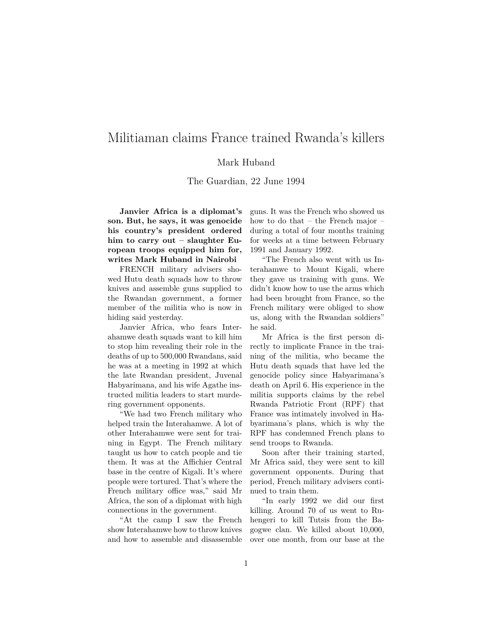## Militiaman claims France trained Rwanda's killers

## Mark Huband

The Guardian, 22 June 1994

**Janvier Africa is a diplomat's son. But, he says, it was genocide his country's president ordered him to carry out – slaughter European troops equipped him for, writes Mark Huband in Nairobi**

FRENCH military advisers showed Hutu death squads how to throw knives and assemble guns supplied to the Rwandan government, a former member of the militia who is now in hiding said yesterday.

Janvier Africa, who fears Interahamwe death squads want to kill him to stop him revealing their role in the deaths of up to 500,000 Rwandans, said he was at a meeting in 1992 at which the late Rwandan president, Juvenal Habyarimana, and his wife Agathe instructed militia leaders to start murdering government opponents.

"We had two French military who helped train the Interahamwe. A lot of other Interahamwe were sent for training in Egypt. The French military taught us how to catch people and tie them. It was at the Affichier Central base in the centre of Kigali. It's where people were tortured. That's where the French military office was," said Mr Africa, the son of a diplomat with high connections in the government.

"At the camp I saw the French show Interahamwe how to throw knives and how to assemble and disassemble guns. It was the French who showed us how to do that – the French major – during a total of four months training for weeks at a time between February 1991 and January 1992.

"The French also went with us Interahamwe to Mount Kigali, where they gave us training with guns. We didn't know how to use the arms which had been brought from France, so the French military were obliged to show us, along with the Rwandan soldiers" he said.

Mr Africa is the first person directly to implicate France in the training of the militia, who became the Hutu death squads that have led the genocide policy since Habyarimana's death on April 6. His experience in the militia supports claims by the rebel Rwanda Patriotic Front (RPF) that France was intimately involved in Habyarimana's plans, which is why the RPF has condemned French plans to send troops to Rwanda.

Soon after their training started, Mr Africa said, they were sent to kill government opponents. During that period, French military advisers continued to train them.

"In early 1992 we did our first killing. Around 70 of us went to Ruhengeri to kill Tutsis from the Bagogwe clan. We killed about 10,000, over one month, from our base at the